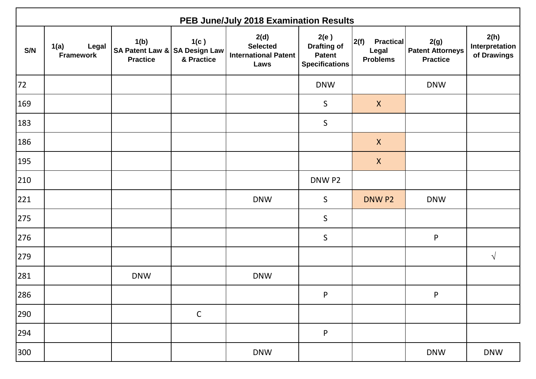|     | PEB June/July 2018 Examination Results |                                                          |                    |                                                                |                                                                      |                                                      |                                                    |                                       |  |  |  |
|-----|----------------------------------------|----------------------------------------------------------|--------------------|----------------------------------------------------------------|----------------------------------------------------------------------|------------------------------------------------------|----------------------------------------------------|---------------------------------------|--|--|--|
| S/N | Legal<br>1(a)<br><b>Framework</b>      | 1(b)<br>SA Patent Law & SA Design Law<br><b>Practice</b> | 1(c)<br>& Practice | 2(d)<br><b>Selected</b><br><b>International Patent</b><br>Laws | 2(e)<br><b>Drafting of</b><br><b>Patent</b><br><b>Specifications</b> | 2(f)<br><b>Practical</b><br>Legal<br><b>Problems</b> | 2(g)<br><b>Patent Attorneys</b><br><b>Practice</b> | 2(h)<br>Interpretation<br>of Drawings |  |  |  |
| 72  |                                        |                                                          |                    |                                                                | <b>DNW</b>                                                           |                                                      | <b>DNW</b>                                         |                                       |  |  |  |
| 169 |                                        |                                                          |                    |                                                                | $\mathsf S$                                                          | $\boldsymbol{X}$                                     |                                                    |                                       |  |  |  |
| 183 |                                        |                                                          |                    |                                                                | $\mathsf S$                                                          |                                                      |                                                    |                                       |  |  |  |
| 186 |                                        |                                                          |                    |                                                                |                                                                      | $\boldsymbol{X}$                                     |                                                    |                                       |  |  |  |
| 195 |                                        |                                                          |                    |                                                                |                                                                      | $\boldsymbol{X}$                                     |                                                    |                                       |  |  |  |
| 210 |                                        |                                                          |                    |                                                                | DNW P2                                                               |                                                      |                                                    |                                       |  |  |  |
| 221 |                                        |                                                          |                    | <b>DNW</b>                                                     | $\mathsf{S}$                                                         | DNW P2                                               | <b>DNW</b>                                         |                                       |  |  |  |
| 275 |                                        |                                                          |                    |                                                                | $\sf S$                                                              |                                                      |                                                    |                                       |  |  |  |
| 276 |                                        |                                                          |                    |                                                                | $\sf S$                                                              |                                                      | ${\sf P}$                                          |                                       |  |  |  |
| 279 |                                        |                                                          |                    |                                                                |                                                                      |                                                      |                                                    | $\sqrt{ }$                            |  |  |  |
| 281 |                                        | <b>DNW</b>                                               |                    | <b>DNW</b>                                                     |                                                                      |                                                      |                                                    |                                       |  |  |  |
| 286 |                                        |                                                          |                    |                                                                | $\mathsf{P}$                                                         |                                                      | $\mathsf{P}$                                       |                                       |  |  |  |
| 290 |                                        |                                                          | $\mathsf C$        |                                                                |                                                                      |                                                      |                                                    |                                       |  |  |  |
| 294 |                                        |                                                          |                    |                                                                | ${\sf P}$                                                            |                                                      |                                                    |                                       |  |  |  |
| 300 |                                        |                                                          |                    | <b>DNW</b>                                                     |                                                                      |                                                      | <b>DNW</b>                                         | <b>DNW</b>                            |  |  |  |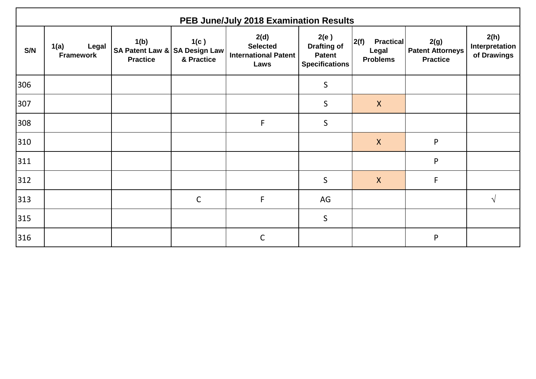|     | PEB June/July 2018 Examination Results |                                                          |                    |                                                                |                                                                      |                                                      |                                                    |                                       |  |  |  |  |
|-----|----------------------------------------|----------------------------------------------------------|--------------------|----------------------------------------------------------------|----------------------------------------------------------------------|------------------------------------------------------|----------------------------------------------------|---------------------------------------|--|--|--|--|
| S/N | Legal<br>1(a)<br><b>Framework</b>      | 1(b)<br>SA Patent Law & SA Design Law<br><b>Practice</b> | 1(c)<br>& Practice | 2(d)<br><b>Selected</b><br><b>International Patent</b><br>Laws | 2(e)<br><b>Drafting of</b><br><b>Patent</b><br><b>Specifications</b> | 2(f)<br><b>Practical</b><br>Legal<br><b>Problems</b> | 2(g)<br><b>Patent Attorneys</b><br><b>Practice</b> | 2(h)<br>Interpretation<br>of Drawings |  |  |  |  |
| 306 |                                        |                                                          |                    |                                                                | $\mathsf S$                                                          |                                                      |                                                    |                                       |  |  |  |  |
| 307 |                                        |                                                          |                    |                                                                | $\mathsf S$                                                          | $\mathsf{X}$                                         |                                                    |                                       |  |  |  |  |
| 308 |                                        |                                                          |                    | $\mathsf{F}$                                                   | $\mathsf{S}$                                                         |                                                      |                                                    |                                       |  |  |  |  |
| 310 |                                        |                                                          |                    |                                                                |                                                                      | $\boldsymbol{X}$                                     | P                                                  |                                       |  |  |  |  |
| 311 |                                        |                                                          |                    |                                                                |                                                                      |                                                      | P                                                  |                                       |  |  |  |  |
| 312 |                                        |                                                          |                    |                                                                | $\mathsf{S}$                                                         | $\boldsymbol{X}$                                     | F                                                  |                                       |  |  |  |  |
| 313 |                                        |                                                          | $\mathsf C$        | $\mathsf F$                                                    | AG                                                                   |                                                      |                                                    | $\mathcal{N}$                         |  |  |  |  |
| 315 |                                        |                                                          |                    |                                                                | $\mathsf{S}$                                                         |                                                      |                                                    |                                       |  |  |  |  |
| 316 |                                        |                                                          |                    | $\mathsf{C}$                                                   |                                                                      |                                                      | P                                                  |                                       |  |  |  |  |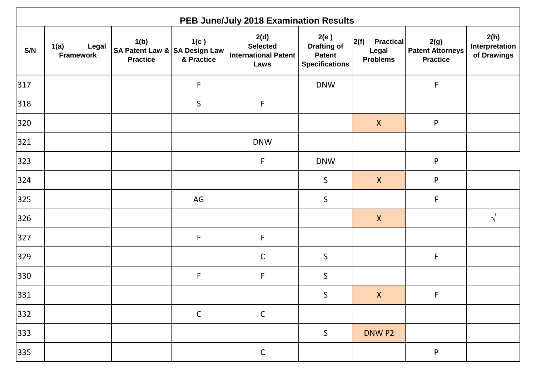|     | PEB June/July 2018 Examination Results |                                                          |                    |                                                                |                                                                      |                                                      |                                                    |                                       |  |  |  |
|-----|----------------------------------------|----------------------------------------------------------|--------------------|----------------------------------------------------------------|----------------------------------------------------------------------|------------------------------------------------------|----------------------------------------------------|---------------------------------------|--|--|--|
| S/N | 1(a)<br>Legal<br><b>Framework</b>      | 1(b)<br>SA Patent Law & SA Design Law<br><b>Practice</b> | 1(c)<br>& Practice | 2(d)<br><b>Selected</b><br><b>International Patent</b><br>Laws | 2(e)<br><b>Drafting of</b><br><b>Patent</b><br><b>Specifications</b> | 2(f)<br><b>Practical</b><br>Legal<br><b>Problems</b> | 2(g)<br><b>Patent Attorneys</b><br><b>Practice</b> | 2(h)<br>Interpretation<br>of Drawings |  |  |  |
| 317 |                                        |                                                          | F                  |                                                                | <b>DNW</b>                                                           |                                                      | F                                                  |                                       |  |  |  |
| 318 |                                        |                                                          | $\mathsf S$        | $\mathsf{F}$                                                   |                                                                      |                                                      |                                                    |                                       |  |  |  |
| 320 |                                        |                                                          |                    |                                                                |                                                                      | $\boldsymbol{X}$                                     | ${\sf P}$                                          |                                       |  |  |  |
| 321 |                                        |                                                          |                    | <b>DNW</b>                                                     |                                                                      |                                                      |                                                    |                                       |  |  |  |
| 323 |                                        |                                                          |                    | $\mathsf F$                                                    | <b>DNW</b>                                                           |                                                      | ${\sf P}$                                          |                                       |  |  |  |
| 324 |                                        |                                                          |                    |                                                                | $\mathsf S$                                                          | $\boldsymbol{X}$                                     | ${\sf P}$                                          |                                       |  |  |  |
| 325 |                                        |                                                          | AG                 |                                                                | $\mathsf S$                                                          |                                                      | $\mathsf F$                                        |                                       |  |  |  |
| 326 |                                        |                                                          |                    |                                                                |                                                                      | $\boldsymbol{X}$                                     |                                                    | $\sqrt{ }$                            |  |  |  |
| 327 |                                        |                                                          | F                  | $\mathsf F$                                                    |                                                                      |                                                      |                                                    |                                       |  |  |  |
| 329 |                                        |                                                          |                    | $\mathsf{C}$                                                   | $\mathsf S$                                                          |                                                      | F                                                  |                                       |  |  |  |
| 330 |                                        |                                                          | F                  | $\mathsf F$                                                    | $\mathsf S$                                                          |                                                      |                                                    |                                       |  |  |  |
| 331 |                                        |                                                          |                    |                                                                | $\mathsf S$                                                          | $\mathsf{X}$                                         | F                                                  |                                       |  |  |  |
| 332 |                                        |                                                          | $\mathsf C$        | $\mathsf C$                                                    |                                                                      |                                                      |                                                    |                                       |  |  |  |
| 333 |                                        |                                                          |                    |                                                                | $\mathsf S$                                                          | DNW P2                                               |                                                    |                                       |  |  |  |
| 335 |                                        |                                                          |                    | $\mathsf C$                                                    |                                                                      |                                                      | ${\sf P}$                                          |                                       |  |  |  |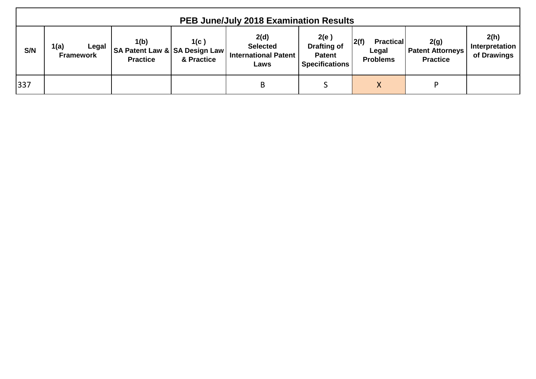|     | <b>PEB June/July 2018 Examination Results</b> |                                                          |                    |                                                                |                                                                      |                                                      |                                                    |                                       |  |  |  |
|-----|-----------------------------------------------|----------------------------------------------------------|--------------------|----------------------------------------------------------------|----------------------------------------------------------------------|------------------------------------------------------|----------------------------------------------------|---------------------------------------|--|--|--|
| S/N | 1(a)<br>Legal<br><b>Framework</b>             | 1(b)<br>SA Patent Law & SA Design Law<br><b>Practice</b> | 1(c)<br>& Practice | 2(d)<br><b>Selected</b><br><b>International Patent</b><br>Laws | 2(e)<br><b>Drafting of</b><br><b>Patent</b><br><b>Specifications</b> | 2(f)<br><b>Practical</b><br>Legal<br><b>Problems</b> | 2(g)<br><b>Patent Attorneys</b><br><b>Practice</b> | 2(h)<br>Interpretation<br>of Drawings |  |  |  |
| 337 |                                               |                                                          |                    | B                                                              |                                                                      | X                                                    | D                                                  |                                       |  |  |  |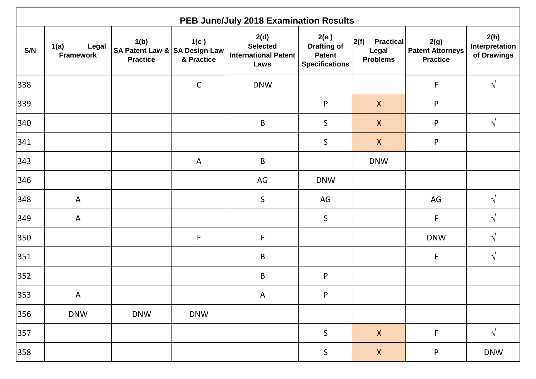|     | PEB June/July 2018 Examination Results |                                                          |                    |                                                                |                                                                      |                                                      |                                                    |                                       |  |  |  |
|-----|----------------------------------------|----------------------------------------------------------|--------------------|----------------------------------------------------------------|----------------------------------------------------------------------|------------------------------------------------------|----------------------------------------------------|---------------------------------------|--|--|--|
| S/N | Legal<br>1(a)<br><b>Framework</b>      | 1(b)<br>SA Patent Law & SA Design Law<br><b>Practice</b> | 1(c)<br>& Practice | 2(d)<br><b>Selected</b><br><b>International Patent</b><br>Laws | 2(e)<br><b>Drafting of</b><br><b>Patent</b><br><b>Specifications</b> | 2(f)<br><b>Practical</b><br>Legal<br><b>Problems</b> | 2(g)<br><b>Patent Attorneys</b><br><b>Practice</b> | 2(h)<br>Interpretation<br>of Drawings |  |  |  |
| 338 |                                        |                                                          | $\mathsf C$        | <b>DNW</b>                                                     |                                                                      |                                                      | F                                                  | $\sqrt{ }$                            |  |  |  |
| 339 |                                        |                                                          |                    |                                                                | ${\sf P}$                                                            | $\mathsf{X}$                                         | P                                                  |                                       |  |  |  |
| 340 |                                        |                                                          |                    | $\sf B$                                                        | $\mathsf S$                                                          | $\mathsf{X}$                                         | P                                                  | $\sqrt{ }$                            |  |  |  |
| 341 |                                        |                                                          |                    |                                                                | $\sf S$                                                              | $\boldsymbol{X}$                                     | ${\sf P}$                                          |                                       |  |  |  |
| 343 |                                        |                                                          | $\mathsf{A}$       | $\mathsf B$                                                    |                                                                      | <b>DNW</b>                                           |                                                    |                                       |  |  |  |
| 346 |                                        |                                                          |                    | AG                                                             | <b>DNW</b>                                                           |                                                      |                                                    |                                       |  |  |  |
| 348 | $\mathsf{A}$                           |                                                          |                    | $\mathsf{S}$                                                   | AG                                                                   |                                                      | AG                                                 | $\sqrt{ }$                            |  |  |  |
| 349 | $\mathsf{A}$                           |                                                          |                    |                                                                | $\mathsf S$                                                          |                                                      | F                                                  | $\sqrt{ }$                            |  |  |  |
| 350 |                                        |                                                          | $\mathsf F$        | $\mathsf F$                                                    |                                                                      |                                                      | <b>DNW</b>                                         | $\sqrt{ }$                            |  |  |  |
| 351 |                                        |                                                          |                    | $\sf B$                                                        |                                                                      |                                                      | F                                                  | $\sqrt{ }$                            |  |  |  |
| 352 |                                        |                                                          |                    | $\sf B$                                                        | ${\sf P}$                                                            |                                                      |                                                    |                                       |  |  |  |
| 353 | A                                      |                                                          |                    | $\mathsf{A}$                                                   | P                                                                    |                                                      |                                                    |                                       |  |  |  |
| 356 | <b>DNW</b>                             | <b>DNW</b>                                               | <b>DNW</b>         |                                                                |                                                                      |                                                      |                                                    |                                       |  |  |  |
| 357 |                                        |                                                          |                    |                                                                | $\sf S$                                                              | $\boldsymbol{\mathsf{X}}$                            | F                                                  | $\sqrt{ }$                            |  |  |  |
| 358 |                                        |                                                          |                    |                                                                | $\sf S$                                                              | $\boldsymbol{\mathsf{X}}$                            | ${\sf P}$                                          | <b>DNW</b>                            |  |  |  |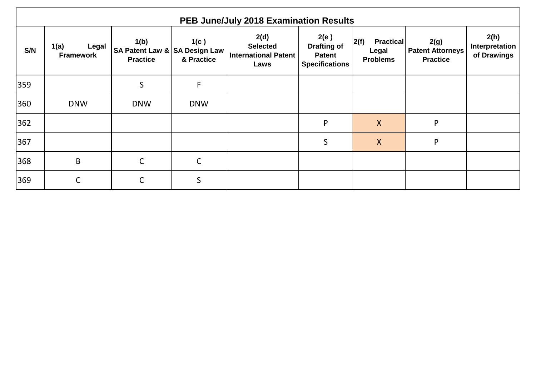| S/N | 1(a)<br>Legal<br><b>Framework</b> | 1(b)<br>SA Patent Law & SA Design Law<br><b>Practice</b> | 1(c)<br>& Practice | 2(d)<br><b>Selected</b><br>International Patent<br>Laws | 2(e)<br><b>Drafting of</b><br>Patent<br><b>Specifications</b> | 2(f)<br><b>Practical</b><br>Legal<br><b>Problems</b> | 2(g)<br><b>Patent Attorneys</b><br><b>Practice</b> | 2(h)<br>Interpretation<br>of Drawings |
|-----|-----------------------------------|----------------------------------------------------------|--------------------|---------------------------------------------------------|---------------------------------------------------------------|------------------------------------------------------|----------------------------------------------------|---------------------------------------|
| 359 |                                   | $\mathsf{S}$                                             | F                  |                                                         |                                                               |                                                      |                                                    |                                       |
| 360 | <b>DNW</b>                        | <b>DNW</b>                                               | <b>DNW</b>         |                                                         |                                                               |                                                      |                                                    |                                       |
| 362 |                                   |                                                          |                    |                                                         | P                                                             | $\mathsf{X}$                                         | P                                                  |                                       |
| 367 |                                   |                                                          |                    |                                                         | $\mathsf{S}$                                                  | $\mathsf{X}$                                         | P                                                  |                                       |
| 368 | $\mathsf B$                       | $\mathsf{C}$                                             | $\mathsf C$        |                                                         |                                                               |                                                      |                                                    |                                       |
| 369 | $\mathsf C$                       | C                                                        | $\mathsf{S}$       |                                                         |                                                               |                                                      |                                                    |                                       |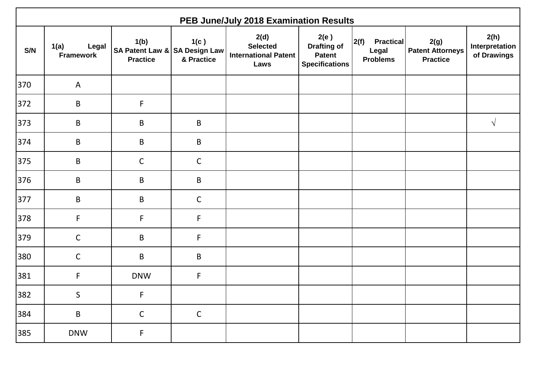|     | PEB June/July 2018 Examination Results |                                                          |                    |                                                                |                                                                      |                                                      |                                                    |                                       |  |  |
|-----|----------------------------------------|----------------------------------------------------------|--------------------|----------------------------------------------------------------|----------------------------------------------------------------------|------------------------------------------------------|----------------------------------------------------|---------------------------------------|--|--|
| S/N | 1(a)<br>Legal<br><b>Framework</b>      | 1(b)<br>SA Patent Law & SA Design Law<br><b>Practice</b> | 1(c)<br>& Practice | 2(d)<br><b>Selected</b><br><b>International Patent</b><br>Laws | 2(e)<br><b>Drafting of</b><br><b>Patent</b><br><b>Specifications</b> | 2(f)<br><b>Practical</b><br>Legal<br><b>Problems</b> | 2(g)<br><b>Patent Attorneys</b><br><b>Practice</b> | 2(h)<br>Interpretation<br>of Drawings |  |  |
| 370 | $\mathsf{A}$                           |                                                          |                    |                                                                |                                                                      |                                                      |                                                    |                                       |  |  |
| 372 | $\mathsf B$                            | F                                                        |                    |                                                                |                                                                      |                                                      |                                                    |                                       |  |  |
| 373 | $\sf B$                                | $\sf B$                                                  | $\sf B$            |                                                                |                                                                      |                                                      |                                                    | $\sqrt{ }$                            |  |  |
| 374 | $\mathsf B$                            | $\sf B$                                                  | $\sf B$            |                                                                |                                                                      |                                                      |                                                    |                                       |  |  |
| 375 | $\sf B$                                | $\mathsf{C}$                                             | $\mathsf{C}$       |                                                                |                                                                      |                                                      |                                                    |                                       |  |  |
| 376 | $\mathsf B$                            | $\mathsf B$                                              | $\sf B$            |                                                                |                                                                      |                                                      |                                                    |                                       |  |  |
| 377 | $\sf B$                                | $\mathsf B$                                              | $\mathsf{C}$       |                                                                |                                                                      |                                                      |                                                    |                                       |  |  |
| 378 | $\mathsf F$                            | $\mathsf F$                                              | F                  |                                                                |                                                                      |                                                      |                                                    |                                       |  |  |
| 379 | $\mathsf{C}$                           | $\mathsf B$                                              | F                  |                                                                |                                                                      |                                                      |                                                    |                                       |  |  |
| 380 | $\mathsf{C}$                           | $\mathsf B$                                              | $\sf B$            |                                                                |                                                                      |                                                      |                                                    |                                       |  |  |
| 381 | $\mathsf F$                            | <b>DNW</b>                                               | F                  |                                                                |                                                                      |                                                      |                                                    |                                       |  |  |
| 382 | $\sf S$                                | F                                                        |                    |                                                                |                                                                      |                                                      |                                                    |                                       |  |  |
| 384 | $\sf B$                                | $\mathsf{C}$                                             | $\mathsf{C}$       |                                                                |                                                                      |                                                      |                                                    |                                       |  |  |
| 385 | <b>DNW</b>                             | $\mathsf F$                                              |                    |                                                                |                                                                      |                                                      |                                                    |                                       |  |  |